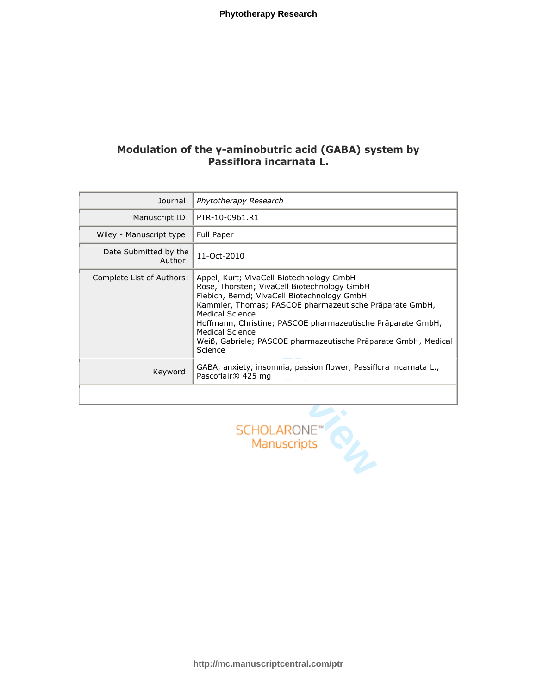# Modulation of the γ-aminobutric acid (GABA) system by Passiflora incarnata L.

| Journal:                         | Phytotherapy Research                                                                                                                                                                                                                                                                                                                                                               |
|----------------------------------|-------------------------------------------------------------------------------------------------------------------------------------------------------------------------------------------------------------------------------------------------------------------------------------------------------------------------------------------------------------------------------------|
| Manuscript ID:                   | PTR-10-0961.R1                                                                                                                                                                                                                                                                                                                                                                      |
| Wiley - Manuscript type:         | Full Paper                                                                                                                                                                                                                                                                                                                                                                          |
| Date Submitted by the<br>Author: | 11-Oct-2010                                                                                                                                                                                                                                                                                                                                                                         |
| Complete List of Authors:        | Appel, Kurt; VivaCell Biotechnology GmbH<br>Rose, Thorsten; VivaCell Biotechnology GmbH<br>Fiebich, Bernd; VivaCell Biotechnology GmbH<br>Kammler, Thomas; PASCOE pharmazeutische Präparate GmbH,<br>Medical Science<br>Hoffmann, Christine; PASCOE pharmazeutische Präparate GmbH,<br>Medical Science<br>Weiß, Gabriele; PASCOE pharmazeutische Präparate GmbH, Medical<br>Science |
| Keyword:                         | GABA, anxiety, insomnia, passion flower, Passiflora incarnata L.,<br>Pascoflair® 425 mg                                                                                                                                                                                                                                                                                             |
|                                  |                                                                                                                                                                                                                                                                                                                                                                                     |

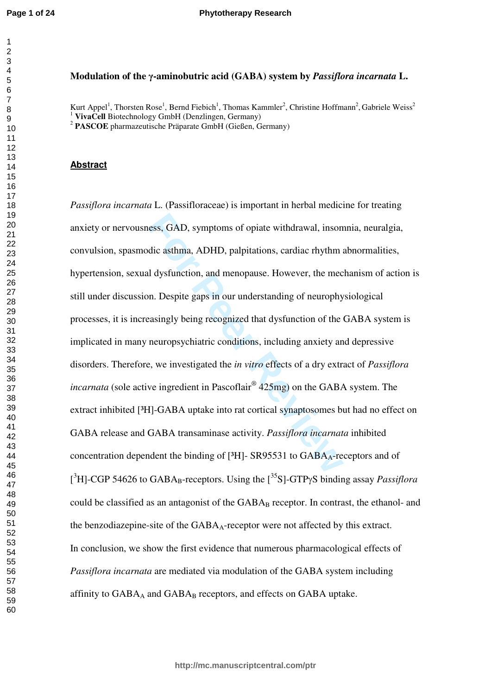# **Modulation of the**  γ**-aminobutric acid (GABA) system by** *Passiflora incarnata* **L.**

Kurt Appel<sup>1</sup>, Thorsten Rose<sup>1</sup>, Bernd Fiebich<sup>1</sup>, Thomas Kammler<sup>2</sup>, Christine Hoffmann<sup>2</sup>, Gabriele Weiss<sup>2</sup>

**VivaCell** Biotechnology GmbH (Denzlingen, Germany) <sup>2</sup> **PASCOE** pharmazeutische Präparate GmbH (Gießen, Germany)

#### **Abstract**

ess, GAD, symptoms of opiate withdrawal, inson<br>dic asthma, ADHD, palpitations, cardiac rhythm and<br>dysfunction, and menopause. However, the mec<br>n. Despite gaps in our understanding of neurophy<br>easingly being recognized that *Passiflora incarnata* L. (Passifloraceae) is important in herbal medicine for treating anxiety or nervousness, GAD, symptoms of opiate withdrawal, insomnia, neuralgia, convulsion, spasmodic asthma, ADHD, palpitations, cardiac rhythm abnormalities, hypertension, sexual dysfunction, and menopause. However, the mechanism of action is still under discussion. Despite gaps in our understanding of neurophysiological processes, it is increasingly being recognized that dysfunction of the GABA system is implicated in many neuropsychiatric conditions, including anxiety and depressive disorders. Therefore, we investigated the *in vitro* effects of a dry extract of *Passiflora incarnata* (sole active ingredient in Pascoflair ® 425mg) on the GABA system. The extract inhibited [<sup>3</sup>H]-GABA uptake into rat cortical synaptosomes but had no effect on GABA release and GABA transaminase activity. *Passiflora incarnata* inhibited concentration dependent the binding of  $[3H]$ - SR95531 to GABA<sub>A</sub>-receptors and of [<sup>3</sup>H]-CGP 54626 to GABA<sub>B</sub>-receptors. Using the [<sup>35</sup>S]-GTPγS binding assay *Passiflora* could be classified as an antagonist of the GABA <sup>B</sup> receptor. In contrast, the ethanol- and the benzodiazepine-site of the GABA <sup>A</sup>-receptor were not affected by this extract. In conclusion, we show the first evidence that numerous pharmacological effects of *Passiflora incarnata* are mediated via modulation of the GABA system including affinity to  $GABA_A$  and  $GABA_B$  receptors, and effects on  $GABA$  uptake.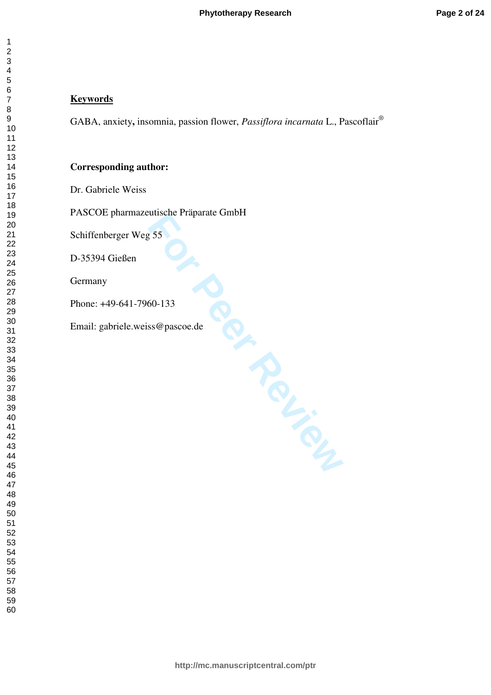# **Keywords**

GABA, anxiety**,** insomnia, passion flower, *Passiflora incarnata* L., Pascoflair ®

# **Corresponding author:**

Dr. Gabriele Weiss

For Praparate Chines<br>
155<br>
SSC (Pascoe.de PASCOE pharmazeutische Präparate GmbH

Schiffenberger Weg 55

D-35394 Gießen

Germany

Phone: +49-641-7960-133

Email: gabriele.weiss@pascoe.de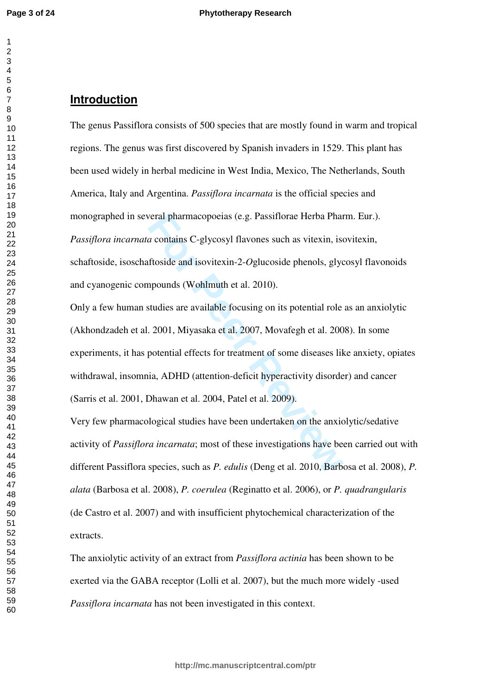#### $\overline{2}$  $\overline{3}$  $\overline{4}$  $\overline{7}$

# **Introduction**

The genus Passiflora consists of 500 species that are mostly found in warm and tropical regions. The genus was first discovered by Spanish invaders in 1529. This plant has been used widely in herbal medicine in West India, Mexico, The Netherlands, South America, Italy and Argentina. *Passiflora incarnata* is the official species and monographed in several pharmacopoeias (e.g. Passiflorae Herba Pharm. Eur.). *Passiflora incarnata* contains C-glycosyl flavones such as vitexin, isovitexin, schaftoside, isoschaftoside and isovitexin-2- *O*glucoside phenols, glycosyl flavonoids and cyanogenic compounds (Wohlmuth et al. 2010).

real pharmacopoeias (e.g. Passiflorae Herba Phan<br>a contains C-glycosyl flavones such as vitexin, ise<br>ftoside and isovitexin-2-*Oglucoside* phenols, glyco<br>apounds (Wohlmuth et al. 2010).<br>studies are available focusing on it Only a few human studies are available focusing on its potential role as an anxiolytic (Akhondzadeh et al. 2001, Miyasaka et al. 2007, Movafegh et al. 2008). In some experiments, it has potential effects for treatment of some diseases like anxiety, opiates withdrawal, insomnia, ADHD (attention-deficit hyperactivity disorder) and cancer (Sarris et al. 2001, Dhawan et al. 2004, Patel et al. 2009).

Very few pharmacological studies have been undertaken on the anxiolytic/sedative activity of *Passiflora incarnata*; most of these investigations have been carried out with different Passiflora species, such as *P. edulis* (Deng et al. 2010, Barbosa et al. 2008), *P. alata* (Barbosa et al. 2008), *P. coerulea* (Reginatto et al. 2006), or *P. quadrangularis* (de Castro et al. 2007) and with insufficient phytochemical characterization of the extracts.

The anxiolytic activity of an extract from *Passiflora actinia* has been shown to be exerted via the GABA receptor (Lolli et al. 2007), but the much more widely -used *Passiflora incarnata* has not been investigated in this context.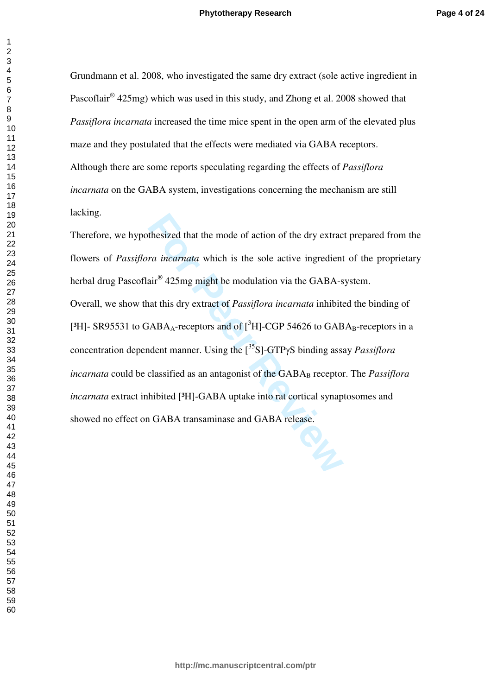Grundmann et al. 2008, who investigated the same dry extract (sole active ingredient in Pascoflair<sup>®</sup> 425mg) which was used in this study, and Zhong et al. 2008 showed that *Passiflora incarnata* increased the time mice spent in the open arm of the elevated plus maze and they postulated that the effects were mediated via GABA receptors. Although there are some reports speculating regarding the effects of *Passiflora incarnata* on the GABA system, investigations concerning the mechanism are still lacking.

thesized that the mode of action of the dry extract<br> *For incarnata* which is the sole active ingredient<br>
air<sup>®</sup> 425mg might be modulation via the GABA-s<br>
hat this dry extract of *Passiflora incarnata* inhibit<br>
FABA<sub>A</sub>-rec Therefore, we hypothesized that the mode of action of the dry extract prepared from the flowers of *Passiflora incarnata* which is the sole active ingredient of the proprietary herbal drug Pascoflair® 425mg might be modulation via the GABA-system. Overall, we show that this dry extract of *Passiflora incarnata* inhibited the binding of [<sup>3</sup>H]- SR95531 to GABA<sub>A</sub>-receptors and of [<sup>3</sup>H]-CGP 54626 to GABA<sub>B</sub>-receptors in a concentration dependent manner. Using the [<sup>35</sup>S]-GTP γS binding assay *Passiflora*  incarnata could be classified as an antagonist of the GABA<sub>B</sub> receptor. The *Passiflora incarnata* extract inhibited [<sup>3</sup>H]-GABA uptake into rat cortical synaptosomes and showed no effect on GABA transaminase and GABA release.

 $\overline{1}$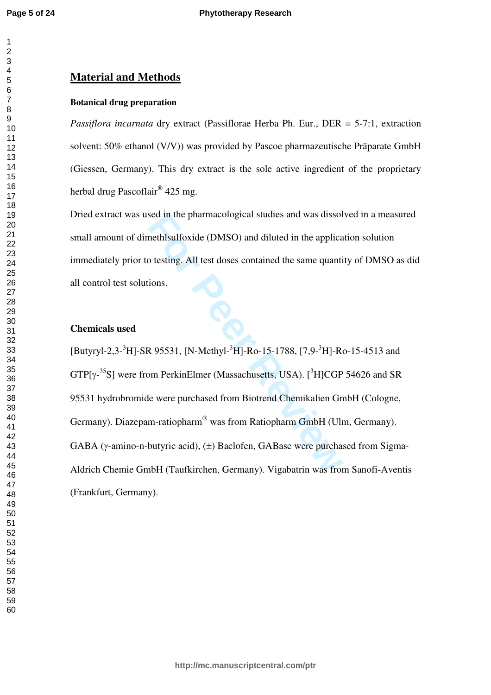$\mathbf{1}$ 

# **Material and Methods**

#### **Botanical drug preparation**

*Passiflora incarnata* dry extract (Passiflorae Herba Ph. Eur., DER = 5-7:1, extraction solvent: 50% ethanol (V/V)) was provided by Pascoe pharmazeutische Präparate GmbH (Giessen, Germany). This dry extract is the sole active ingredient of the proprietary herbal drug Pascoflair® 425 mg.

Dried extract was used in the pharmacological studies and was dissolved in a measured small amount of dimethlsulfoxide (DMSO) and diluted in the application solution immediately prior to testing. All test doses contained the same quantity of DMSO as did<br>all control test solutions. all control test solutions.

# **Chemicals used**

sed in the pharmacological studies and was dissol<br>methlsulfoxide (DMSO) and diluted in the applica<br>o testing. All test doses contained the same quanti<br>ions.<br>Reviewes All test doses contained the same quanti<br>ions.<br>Reviewes [Butyryl-2,3-<sup>3</sup>H]-SR 95531, [N-Methyl-<sup>3</sup>H]-Ro-15-1788, [7,9-<sup>3</sup>H]-Ro-15-4513 and  $GTP[\gamma^{-35}S]$  were from PerkinElmer (Massachusetts, USA). [<sup>3</sup>H]CGP 54626 and SR 95531 hydrobromide were purchased from Biotrend Chemikalien GmbH (Cologne, Germany). Diazepam-ratiopharm® was from Ratiopharm GmbH (Ulm, Germany). GABA (γ-amino-n-butyric acid), (±) Baclofen, GABase were purchased from Sigma-Aldrich Chemie GmbH (Taufkirchen, Germany). Vigabatrin was from Sanofi-Aventis (Frankfurt, Germany).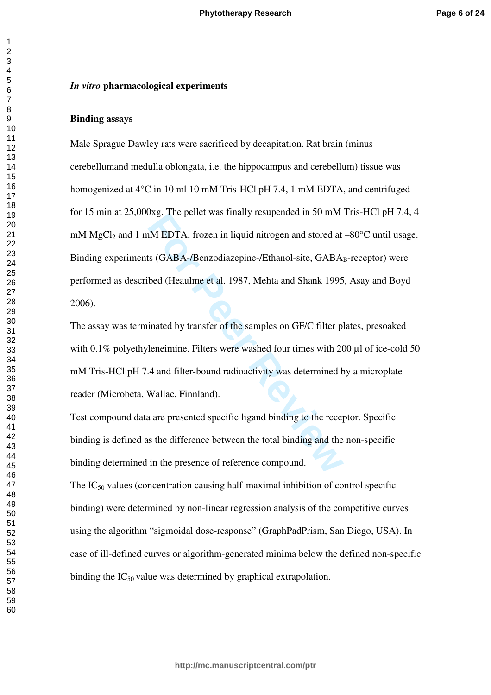#### *In vitro* **pharmacological experiments**

#### **Binding assays**

Experiment Was interpreted in 50 mm<br>
IM EDTA, frozen in liquid nitrogen and stored at<br>
IS (GABA-/Benzodiazepine-/Ethanol-site, GABA<br>
bed (Heaulme et al. 1987, Mehta and Shank 1995<br>
inated by transfer of the samples on GF/C Male Sprague Dawley rats were sacrificed by decapitation. Rat brain (minus cerebellumand medulla oblongata, i.e. the hippocampus and cerebellum) tissue was homogenized at 4°C in 10 ml 10 mM Tris-HCl pH 7.4, 1 mM EDTA, and centrifuged for 15 min at 25,000xg. The pellet was finally resupended in 50 mM Tris-HCl pH 7.4, 4 mM MgCl <sup>2</sup> and 1 mM EDTA, frozen in liquid nitrogen and stored at –80°C until usage. Binding experiments (GABA-/Benzodiazepine-/Ethanol-site, GABA <sup>B</sup>-receptor) were performed as described (Heaulme et al. 1987, Mehta and Shank 1995, Asay and Boyd 2006).

The assay was terminated by transfer of the samples on GF/C filter plates, presoaked with 0.1% polyethyleneimine. Filters were washed four times with 200 µl of ice-cold 50 mM Tris-HCl pH 7.4 and filter-bound radioactivity was determined by a microplate reader (Microbeta, Wallac, Finnland).

Test compound data are presented specific ligand binding to the receptor. Specific binding is defined as the difference between the total binding and the non-specific binding determined in the presence of reference compound.

The  $IC_{50}$  values (concentration causing half-maximal inhibition of control specific binding) were determined by non-linear regression analysis of the competitive curves using the algorithm "sigmoidal dose-response" (GraphPadPrism, San Diego, USA). In case of ill-defined curves or algorithm-generated minima below the defined non-specific binding the  $IC_{50}$  value was determined by graphical extrapolation.

 $\mathbf{1}$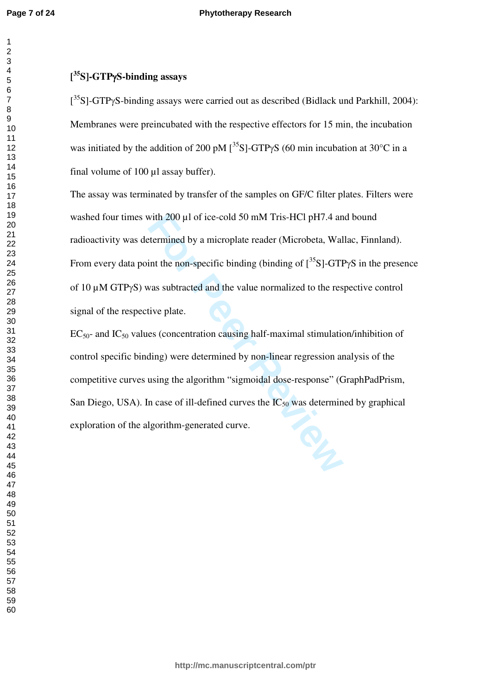# **[ <sup>35</sup>S]-GTP**γ**S-binding assays**

 $[35S]$ -GTPγS-binding assays were carried out as described (Bidlack und Parkhill, 2004): Membranes were preincubated with the respective effectors for 15 min, the incubation was initiated by the addition of 200 pM  $[^{35}S]$ -GTP $\gamma S$  (60 min incubation at 30°C in a final volume of 100 ul assay buffer).

with 200  $\mu$ l of ice-cold 50 mM Tris-HCl pH7.4 and<br>termined by a microplate reader (Microbeta, Wal<br>int the non-specific binding (binding of  $[^{35}S]$ -GTI<br>was subtracted and the value normalized to the res<br>tive plate.<br>es The assay was terminated by transfer of the samples on GF/C filter plates. Filters were washed four times with 200 µl of ice-cold 50 mM Tris-HCl pH7.4 and bound radioactivity was determined by a microplate reader (Microbeta, Wallac, Finnland). From every data point the non-specific binding (binding of  $[^{35}S]$ -GTP $\gamma S$  in the presence of 10 µM GTP γS) was subtracted and the value normalized to the respective control signal of the respective plate.

 $EC_{50}$ - and  $IC_{50}$  values (concentration causing half-maximal stimulation/inhibition of control specific binding) were determined by non-linear regression analysis of the competitive curves using the algorithm "sigmoidal dose-response" (GraphPadPrism, San Diego, USA). In case of ill-defined curves the  $IC_{50}$  was determined by graphical exploration of the algorithm-generated curve.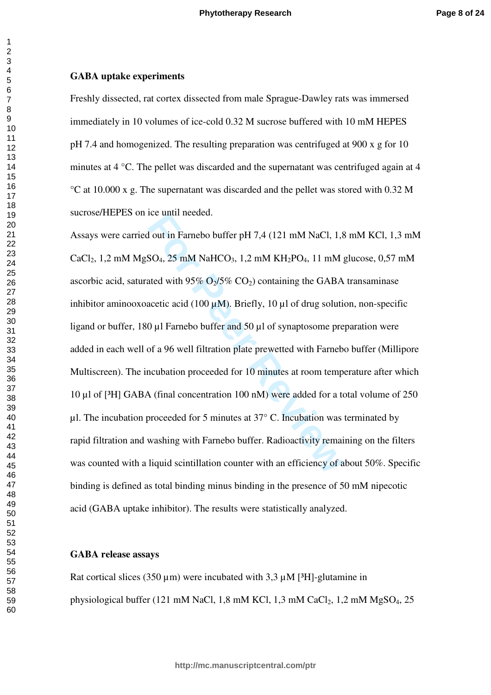## **GABA uptake experiments**

Freshly dissected, rat cortex dissected from male Sprague-Dawley rats was immersed immediately in 10 volumes of ice-cold 0.32 M sucrose buffered with 10 mM HEPES pH 7.4 and homogenized. The resulting preparation was centrifuged at 900 x g for 10 minutes at 4 °C. The pellet was discarded and the supernatant was centrifuged again at 4 °C at 10.000 x g. The supernatant was discarded and the pellet was stored with 0.32 M sucrose/HEPES on ice until needed.

**For EXECUTE 10.11 THALL 1.5** SO<sub>4</sub>, 25 mM NaHCO<sub>3</sub>, 1,2 mM KH<sub>2</sub>PO<sub>4</sub>, 11 mM ated with 95% O<sub>2</sub>/5% CO<sub>2</sub>) containing the GABA acetic acid (100  $\mu$ M). Briefly, 10  $\mu$ l of drug solution (100  $\mu$ M). Briefly, 10  $\mu$ l of Assays were carried out in Farnebo buffer pH 7,4 (121 mM NaCl, 1,8 mM KCl, 1,3 mM CaCl<sub>2</sub>, 1,2 mM MgSO<sub>4</sub>, 25 mM NaHCO<sub>3</sub>, 1,2 mM KH<sub>2</sub>PO<sub>4</sub>, 11 mM glucose, 0,57 mM ascorbic acid, saturated with  $95\%$  O<sub>2</sub>/5% CO<sub>2</sub>) containing the GABA transaminase inhibitor aminooxoacetic acid (100  $\mu$ M). Briefly, 10  $\mu$ l of drug solution, non-specific ligand or buffer, 180  $\mu$ l Farnebo buffer and 50  $\mu$ l of synaptosome preparation were added in each well of a 96 well filtration plate prewetted with Farnebo buffer (Millipore Multiscreen). The incubation proceeded for 10 minutes at room temperature after which 10 µl of [³H] GABA (final concentration 100 nM) were added for a total volume of 250  $\mu$ l. The incubation proceeded for 5 minutes at 37 $\degree$  C. Incubation was terminated by rapid filtration and washing with Farnebo buffer. Radioactivity remaining on the filters was counted with a liquid scintillation counter with an efficiency of about 50%. Specific binding is defined as total binding minus binding in the presence of 50 mM nipecotic acid (GABA uptake inhibitor). The results were statistically analyzed.

## **GABA release assays**

Rat cortical slices (350  $\mu$ m) were incubated with 3,3  $\mu$ M [<sup>3</sup>H]-glutamine in physiological buffer (121 mM NaCl, 1,8 mM KCl, 1,3 mM CaCl <sup>2</sup>, 1,2 mM MgSO <sup>4</sup>, 25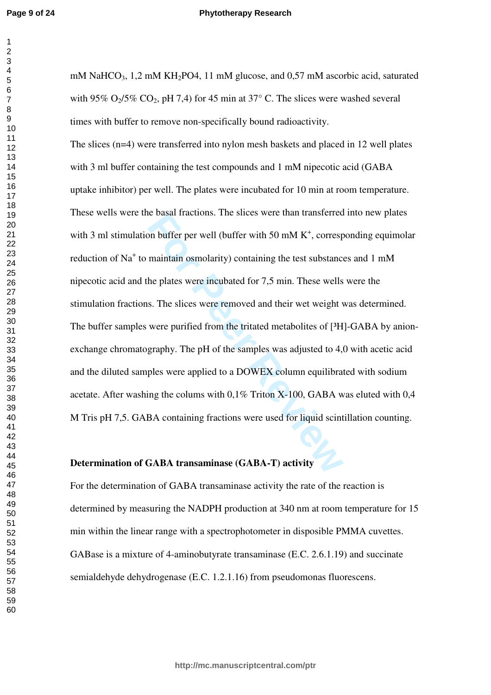#### **Phytotherapy Research**

mM NaHCO <sup>3</sup>, 1,2 mM KH <sup>2</sup>PO4, 11 mM glucose, and 0,57 mM ascorbic acid, saturated with 95%  $O_2/5\%$  CO<sub>2</sub>, pH 7,4) for 45 min at 37° C. The slices were washed several times with buffer to remove non-specifically bound radioactivity.

be basar fractions. The slices were than transferred<br>on buffer per well (buffer with 50 mM K<sup>+</sup>, corresp<br>maintain osmolarity) containing the test substance<br>he plates were incubated for 7,5 min. These wells<br>s. The slices we The slices (n=4) were transferred into nylon mesh baskets and placed in 12 well plates with 3 ml buffer containing the test compounds and 1 mM nipecotic acid (GABA uptake inhibitor) per well. The plates were incubated for 10 min at room temperature. These wells were the basal fractions. The slices were than transferred into new plates with 3 ml stimulation buffer per well (buffer with 50 mM  $K^+$ , corresponding equimolar reduction of Na<sup>+</sup> to maintain osmolarity) containing the test substances and 1 mM nipecotic acid and the plates were incubated for 7,5 min. These wells were the stimulation fractions. The slices were removed and their wet weight was determined. The buffer samples were purified from the tritated metabolites of [ $3H$ ]-GABA by anionexchange chromatography. The pH of the samples was adjusted to 4,0 with acetic acid and the diluted samples were applied to a DOWEX column equilibrated with sodium acetate. After washing the colums with 0,1% Triton X-100, GABA was eluted with 0,4 M Tris pH 7,5. GABA containing fractions were used for liquid scintillation counting.

# **Determination of GABA transaminase (GABA-T) activity**

For the determination of GABA transaminase activity the rate of the reaction is determined by measuring the NADPH production at 340 nm at room temperature for 15 min within the linear range with a spectrophotometer in disposible PMMA cuvettes. GABase is a mixture of 4-aminobutyrate transaminase (E.C. 2.6.1.19) and succinate semialdehyde dehydrogenase (E.C. 1.2.1.16) from pseudomonas fluorescens.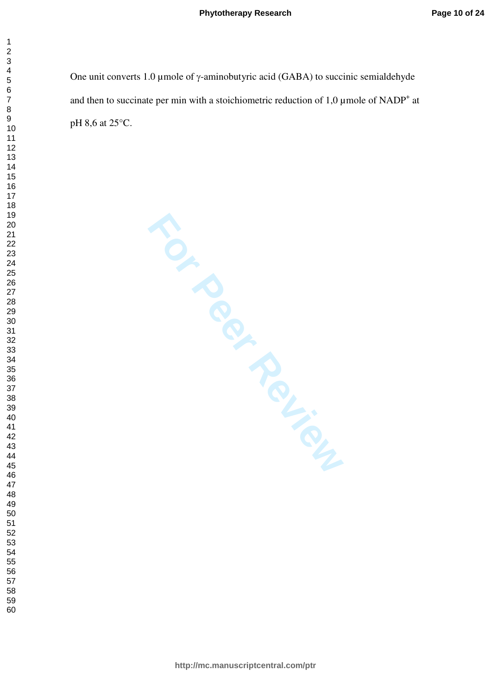One unit converts 1.0 μmole of  $γ$ -aminobutyric acid (GABA) to succinic semialdehyde and then to succinate per min with a stoichiometric reduction of  $1,0 \mu$  mole of NADP<sup>+</sup> at pH 8,6 at 25°C.

**FOR PROLLIP PROLL**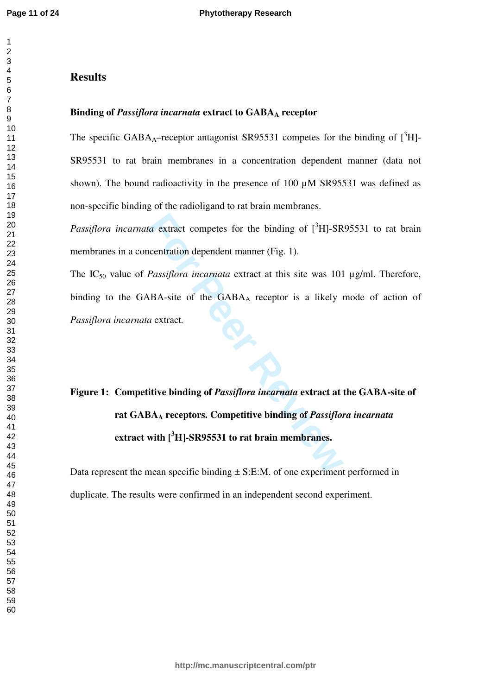$\mathbf{1}$  $\overline{2}$ 

## $\overline{4}$  $\overline{7}$

# **Results**

# Binding of *Passiflora incarnata* extract to GABA<sub>A</sub> receptor

The specific GABA<sub>A</sub>-receptor antagonist SR95531 competes for the binding of  $[^{3}H]$ -SR95531 to rat brain membranes in a concentration dependent manner (data not shown). The bound radioactivity in the presence of 100  $\mu$ M SR95531 was defined as non-specific binding of the radioligand to rat brain membranes.

Passiflora incarnata extract competes for the binding of [<sup>3</sup>H]-SR95531 to rat brain membranes in a concentration dependent manner (Fig. 1).

The IC<sub>50</sub> value of *Passiflora incarnata* extract at this site was 101 µg/ml. Therefore, binding to the GABA-site of the GABA <sup>A</sup> receptor is a likely mode of action of *Passiflora incarnata* extract *.*

# *For the binding of*  $[^{3}H]$ -SR<br> *Fassiflora incarnata* extract at this site was 101<br> *Fassiflora incarnata* extract at this site was 101<br> *RBA-site of the GABA<sub>A</sub> receptor is a likely a*<br> *A* extract.<br> **For Passiflora i Figure 1: Competitive binding of** *Passiflora incarnata* **extract at the GABA-site of rat GABA <sup>A</sup> receptors. Competitive binding of** *Passiflora incarnata* **extract with [ <sup>3</sup>H]-SR95531 to rat brain membranes.**

Data represent the mean specific binding  $\pm$  S:E:M. of one experiment performed in duplicate. The results were confirmed in an independent second experiment.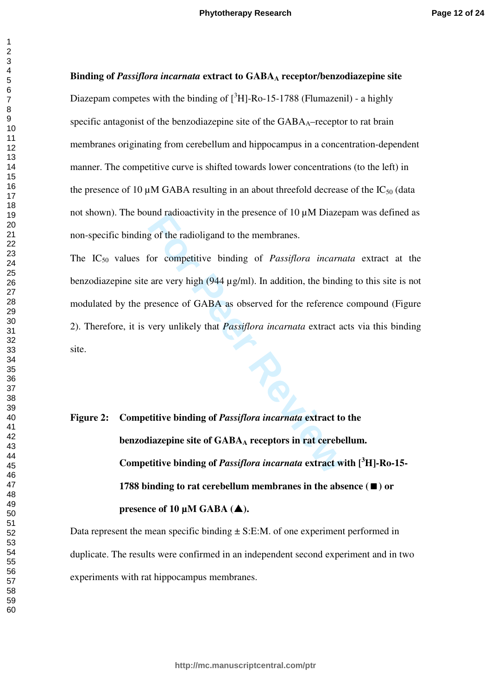## $\overline{4}$  $\overline{7}$

 $\mathbf{1}$  $\overline{2}$ 

> **Binding of** *Passiflora incarnata* **extract to GABA <sup>A</sup> receptor/benzodiazepine site**  Diazepam competes with the binding of  $[^{3}H]$ -Ro-15-1788 (Flumazenil) - a highly specific antagonist of the benzodiazepine site of the GABA <sup>A</sup>–receptor to rat brain membranes originating from cerebellum and hippocampus in a concentration-dependent manner. The competitive curve is shifted towards lower concentrations (to the left) in the presence of 10  $\mu$ M GABA resulting in an about threefold decrease of the IC<sub>50</sub> (data not shown). The bound radioactivity in the presence of  $10 \mu$ M Diazepam was defined as non-specific binding of the radioligand to the membranes.

> and radioactivity in the presence of TO  $\mu$ IM Diazel<br>g of the radioligand to the membranes.<br>For competitive binding of *Passiflora incarna*<br>are very high (944  $\mu$ g/ml). In addition, the bindi<br>resence of GABA as observed The IC50 values for competitive binding of *Passiflora incarnata* extract at the benzodiazepine site are very high (944 µg/ml). In addition, the binding to this site is not modulated by the presence of GABA as observed for the reference compound (Figure 2). Therefore, it is very unlikely that *Passiflora incarnata* extract acts via this binding site.

# **Figure 2: Competitive binding of** *Passiflora incarnata* **extract to the benzodiazepine site of GABA <sup>A</sup> receptors in rat cerebellum. Competitive binding of** *Passiflora incarnata* **extract with [ <sup>3</sup>H]-Ro-15- 1788 binding to rat cerebellum membranes in the absence**  $(\blacksquare)$  **or presence of 10 µM GABA ().**

Data represent the mean specific binding  $\pm$  S:E:M. of one experiment performed in duplicate. The results were confirmed in an independent second experiment and in two experiments with rat hippocampus membranes.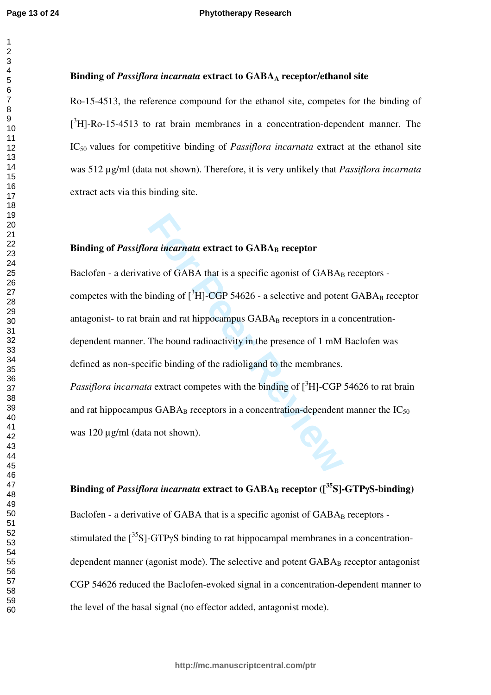### $\overline{2}$  $\overline{4}$  $\overline{7}$

# **Binding of** *Passiflora incarnata* **extract to GABA <sup>A</sup> receptor/ethanol site**

Ro-15-4513, the reference compound for the ethanol site, competes for the binding of  $[3H]$ -Ro-15-4513 to rat brain membranes in a concentration-dependent manner. The IC50 values for competitive binding of *Passiflora incarnata* extract at the ethanol site was 512 µg/ml (data not shown). Therefore, it is very unlikely that *Passiflora incarnata*  extract acts via this binding site.

# **Binding of** *Passiflora incarnata* **extract to GABA <sup>B</sup> receptor**

**For a incarnata extract to GABA<sub>B</sub> receptor**<br>
For a incarnata extract to GABA<sub>B</sub> receptor<br>
For SABA<sub>B</sub> receptors and poter<br>
For ain and rat hippocampus GABA<sub>B</sub> receptors in a complement<br>
The bound radioactivity in the pr Baclofen - a derivative of GABA that is a specific agonist of GABA<sub>B</sub> receptors competes with the binding of  $[^{3}H]$ -CGP 54626 - a selective and potent GABA<sub>B</sub> receptor antagonist- to rat brain and rat hippocampus GABA<sub>B</sub> receptors in a concentrationdependent manner. The bound radioactivity in the presence of 1 mM Baclofen was defined as non-specific binding of the radioligand to the membranes. *Passiflora incarnata* extract competes with the binding of [<sup>3</sup>H]-CGP 54626 to rat brain and rat hippocampus  $GABA_B$  receptors in a concentration-dependent manner the  $IC_{50}$ was 120  $\mu$ g/ml (data not shown).

# **Binding of** *Passiflora incarnata* **extract to GABA <sup>B</sup> receptor ([<sup>35</sup>S]-GTP**γ**S-binding)**

Baclofen - a derivative of GABA that is a specific agonist of GABA<sub>B</sub> receptors stimulated the  $[^{35}S]$ -GTP $\gamma S$  binding to rat hippocampal membranes in a concentrationdependent manner (agonist mode). The selective and potent  $GABA_B$  receptor antagonist CGP 54626 reduced the Baclofen-evoked signal in a concentration-dependent manner to the level of the basal signal (no effector added, antagonist mode).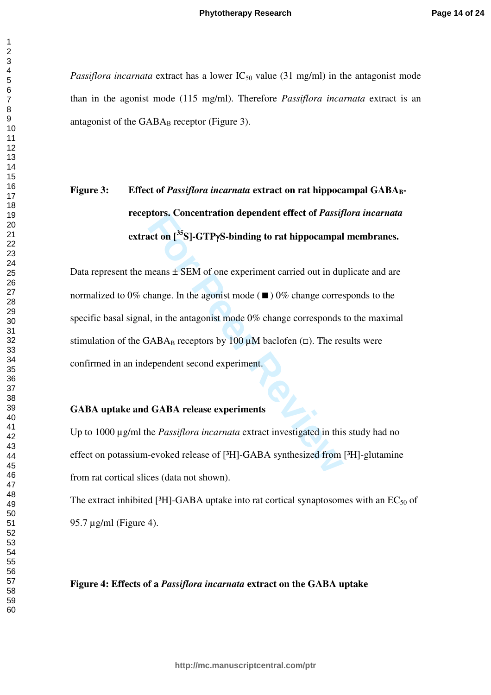*Passiflora incarnata* extract has a lower  $IC_{50}$  value (31 mg/ml) in the antagonist mode than in the agonist mode (115 mg/ml). Therefore *Passiflora incarnata* extract is an antagonist of the GABA <sup>B</sup> receptor (Figure 3).

# **Figure 3:** Effect of *Passiflora incarnata* extract on rat hippocampal GABA<sub>B</sub>**receptors. Concentration dependent effect of** *Passiflora incarnata* **extract on [<sup>35</sup>S]-GTP**γ**S-binding to rat hippocampal membranes.**

**For Properties:** Concentration dependent effect of *Passy*<br>**For Properties:** SEM of one experiment carried out in duplange. In the agonist mode ( $\blacksquare$ ) 0% change corresponds<br>**For Properties:** I, in the antagonist mode 0 Data represent the means  $\pm$  SEM of one experiment carried out in duplicate and are normalized to 0% change. In the agonist mode  $(\blacksquare)$  0% change corresponds to the specific basal signal, in the antagonist mode 0% change corresponds to the maximal stimulation of the GABA<sub>B</sub> receptors by 100  $\mu$ M baclofen ( $\Box$ ). The results were confirmed in an independent second experiment.

# **GABA uptake and GABA release experiments**

Up to 1000 µg/ml the *Passiflora incarnata* extract investigated in this study had no effect on potassium-evoked release of [<sup>3</sup>H]-GABA synthesized from [<sup>3</sup>H]-glutamine from rat cortical slices (data not shown).

The extract inhibited [ ${}^{3}$ H]-GABA uptake into rat cortical synaptosomes with an EC<sub>50</sub> of 95.7 µg/ml (Figure 4).

# **Figure 4: Effects of a** *Passiflora incarnata* **extract on the GABA uptake**

 $\mathbf{1}$  $\overline{2}$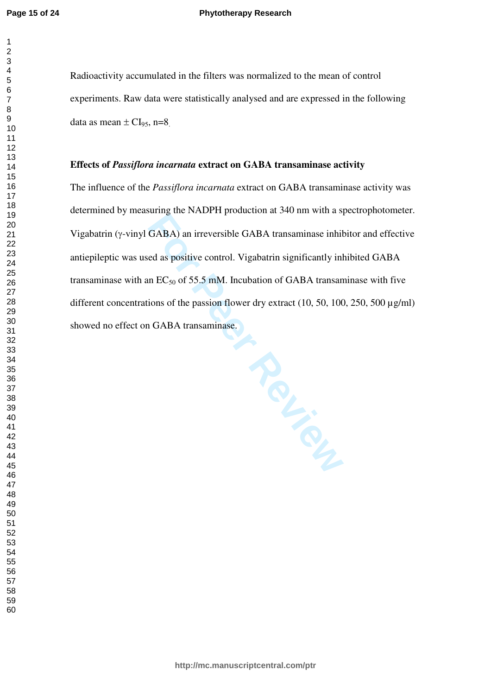$\mathbf{1}$ 

#### **Phytotherapy Research**

Radioactivity accumulated in the filters was normalized to the mean of control experiments. Raw data were statistically analysed and are expressed in the following data as mean  $\pm$  CI<sub>95</sub>, n=8<sub>.</sub>

# **Effects of** *Passiflora incarnata* **extract on GABA transaminase activity**

The influence of the *Passiflora incarnata* extract on GABA transaminase activity was determined by measuring the NADPH production at 340 nm with a spectrophotometer. Vigabatrin ( γ-vinyl GABA) an irreversible GABA transaminase inhibitor and effective antiepileptic was used as positive control. Vigabatrin significantly inhibited GABA transaminase with an  $EC_{50}$  of 55.5 mM. Incubation of GABA transaminase with five different concentrations of the passion flower dry extract  $(10, 50, 100, 250, 500 \mu g/ml)$ showed no effect on GABA transaminase.

**France**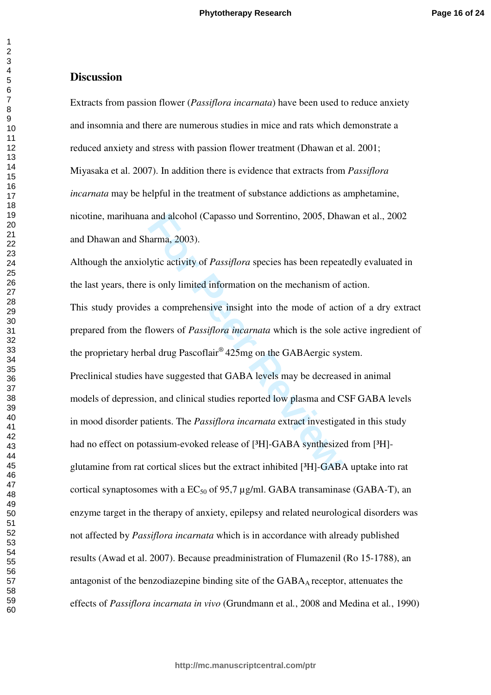# **Discussion**

Extracts from passion flower (*Passiflora incarnata*) have been used to reduce anxiety and insomnia and there are numerous studies in mice and rats which demonstrate a reduced anxiety and stress with passion flower treatment (Dhawan et al. 2001; Miyasaka et al. 2007). In addition there is evidence that extracts from *Passiflora incarnata* may be helpful in the treatment of substance addictions as amphetamine, nicotine, marihuana and alcohol (Capasso und Sorrentino, 2005, Dhawan et al., 2002 and Dhawan and Sharma, 2003).

and alcohol (Capasso und Sorrentino, 2005, Dha<br>arma, 2003).<br>Uytic activity of *Passiflora* species has been repeat<br>is only limited information on the mechanism of<br>s a comprehensive insight into the mode of acti<br>lowers of Although the anxiolytic activity of *Passiflora* species has been repeatedly evaluated in the last years, there is only limited information on the mechanism of action. This study provides a comprehensive insight into the mode of action of a dry extract prepared from the flowers of *Passiflora incarnata* which is the sole active ingredient of the proprietary herbal drug Pascoflair® 425mg on the GABAergic system. Preclinical studies have suggested that GABA levels may be decreased in animal models of depression, and clinical studies reported low plasma and CSF GABA levels in mood disorder patients. The *Passiflora incarnata* extract investigated in this study had no effect on potassium-evoked release of [<sup>3</sup>H]-GABA synthesized from [<sup>3</sup>H]glutamine from rat cortical slices but the extract inhibited [³H]-GABA uptake into rat cortical synaptosomes with a  $EC_{50}$  of 95,7 µg/ml. GABA transaminase (GABA-T), an enzyme target in the therapy of anxiety, epilepsy and related neurological disorders was not affected by *Passiflora incarnata* which is in accordance with already published results (Awad et al. 2007). Because preadministration of Flumazenil (Ro 15-1788), an antagonist of the benzodiazepine binding site of the  $GABA_A$  receptor, attenuates the effects of *Passiflora incarnata in vivo* (Grundmann et al *.*, 2008 and Medina et al *.*, 1990)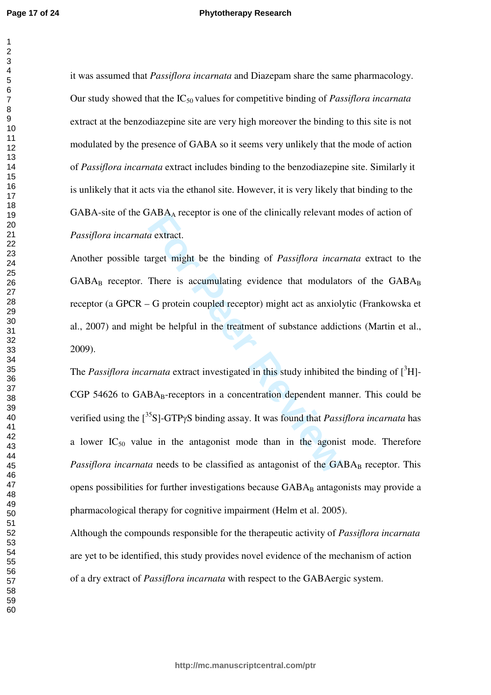#### **Phytotherapy Research**

it was assumed that *Passiflora incarnata* and Diazepam share the same pharmacology. Our study showed that the IC<sub>50</sub> values for competitive binding of *Passiflora incarnata* extract at the benzodiazepine site are very high moreover the binding to this site is not modulated by the presence of GABA so it seems very unlikely that the mode of action of *Passiflora incarnata* extract includes binding to the benzodiazepine site. Similarly it is unlikely that it acts via the ethanol site. However, it is very likely that binding to the GABA-site of the  $GABA_A$  receptor is one of the clinically relevant modes of action of *Passiflora incarnata* extract.

Another possible target might be the binding of *Passiflora incarnata* extract to the  $GABA_B$  receptor. There is accumulating evidence that modulators of the  $GABA_B$ receptor (a GPCR – G protein coupled receptor) might act as anxiolytic (Frankowska et al., 2007) and might be helpful in the treatment of substance addictions (Martin et al., 2009).

**FABAA** receptor is one of the enfinerally relevant if<br>a extract.<br>There is accumulating evidence that modulate<br>-G protein coupled receptor) might act as anxioly<br>the helpful in the treatment of substance addict<br>the helpful The *Passiflora incarnata* extract investigated in this study inhibited the binding of  $[^3H]$ -CGP 54626 to GABA <sup>B</sup>-receptors in a concentration dependent manner. This could be verified using the [<sup>35</sup>S]-GTP γS binding assay. It was found that *Passiflora incarnata* has a lower  $IC_{50}$  value in the antagonist mode than in the agonist mode. Therefore Passiflora incarnata needs to be classified as antagonist of the GABA<sub>B</sub> receptor. This opens possibilities for further investigations because GABA <sup>B</sup> antagonists may provide a pharmacological therapy for cognitive impairment (Helm et al. 2005).

Although the compounds responsible for the therapeutic activity of *Passiflora incarnata* are yet to be identified, this study provides novel evidence of the mechanism of action of a dry extract of *Passiflora incarnata* with respect to the GABAergic system.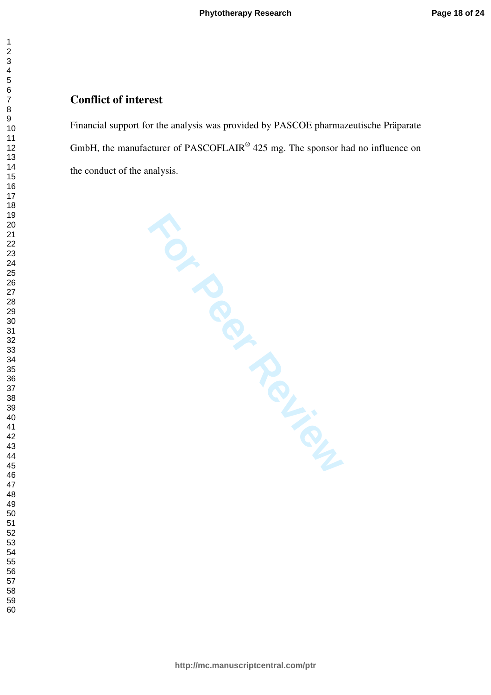# **Conflict of interest**

Financial support for the analysis was provided by PASCOE pharmazeutische Präparate GmbH, the manufacturer of PASCOFLAIR<sup>®</sup>  $425$  mg. The sponsor had no influence on the conduct of the analysis.

**For Peripary** 

 $\mathbf{1}$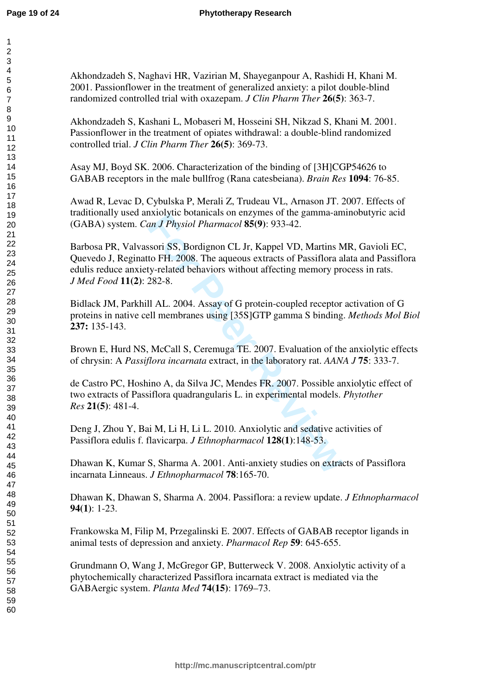Akhondzadeh S, Naghavi HR, Vazirian M, Shayeganpour A, Rashidi H, Khani M. 2001. Passionflower in the treatment of generalized anxiety: a pilot double-blind randomized controlled trial with oxazepam. *J Clin Pharm Ther* **26(5)**: 363-7.

Akhondzadeh S, Kashani L, Mobaseri M, Hosseini SH, Nikzad S, Khani M. 2001. Passionflower in the treatment of opiates withdrawal: a double-blind randomized controlled trial. *J Clin Pharm Ther* **26(5)**: 369-73.

Asay MJ, Boyd SK. 2006. Characterization of the binding of [3H]CGP54626 to GABAB receptors in the male bullfrog (Rana catesbeiana). *Brain Res* **1094**: 76-85.

Awad R, Levac D, Cybulska P, Merali Z, Trudeau VL, Arnason JT. 2007. Effects of traditionally used anxiolytic botanicals on enzymes of the gamma-aminobutyric acid (GABA) system. *Can J Physiol Pharmacol* **85(9)**: 933-42.

Extraytive botanicals of enzymes of the gamma-an<br> *For Physiol Pharmacol* **85(9)**: 933-42.<br>
Soori SS, Bordignon CL Jr, Kappel VD, Martins Mo<br>
For P. 2008. The aqueous extracts of Passiflora a<br> *For P. 2008.* The aqueous ex Barbosa PR, Valvassori SS, Bordignon CL Jr, Kappel VD, Martins MR, Gavioli EC, Quevedo J, Reginatto FH. 2008. The aqueous extracts of Passiflora alata and Passiflora edulis reduce anxiety-related behaviors without affecting memory process in rats. *J Med Food* **11(2)**: 282-8.

Bidlack JM, Parkhill AL. 2004. Assay of G protein-coupled receptor activation of G proteins in native cell membranes using [35S]GTP gamma S binding. *Methods Mol Biol* **237:** 135-143.

Brown E, Hurd NS, McCall S, Ceremuga TE. 2007. Evaluation of the anxiolytic effects of chrysin: A *Passiflora incarnata* extract, in the laboratory rat. *AANA J* **75**: 333-7.

de Castro PC, Hoshino A, da Silva JC, Mendes FR. 2007. Possible anxiolytic effect of two extracts of Passiflora quadrangularis L. in experimental models. *Phytother Res* **21(5)**: 481-4.

Deng J, Zhou Y, Bai M, Li H, Li L. 2010. Anxiolytic and sedative activities of Passiflora edulis f. flavicarpa. *J Ethnopharmacol* **128(1)**:148-53.

Dhawan K, Kumar S, Sharma A. 2001. Anti-anxiety studies on extracts of Passiflora incarnata Linneaus. *J Ethnopharmacol* **78**:165-70.

Dhawan K, Dhawan S, Sharma A. 2004. Passiflora: a review update. *J Ethnopharmacol* **94(1)**: 1-23.

Frankowska M, Filip M, Przegalinski E. 2007. Effects of GABAB receptor ligands in animal tests of depression and anxiety. *Pharmacol Rep* **59**: 645-655.

Grundmann O, Wang J, McGregor GP, Butterweck V. 2008. Anxiolytic activity of a phytochemically characterized Passiflora incarnata extract is mediated via the GABAergic system. *Planta Med* **74(15)**: 1769–73.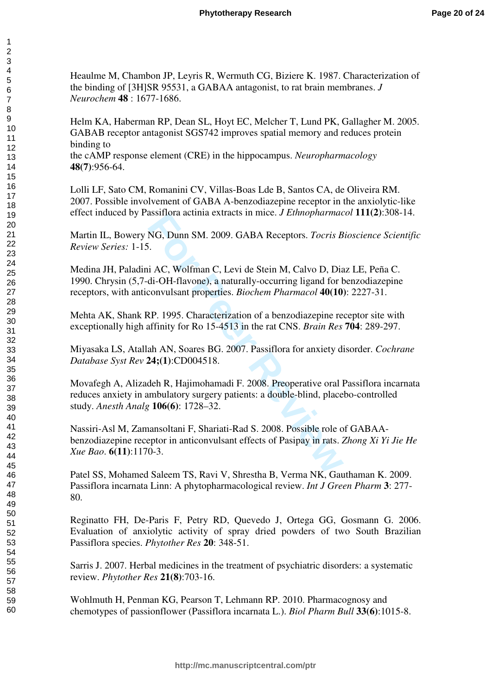Heaulme M, Chambon JP, Leyris R, Wermuth CG, Biziere K. 1987. Characterization of the binding of [3H]SR 95531, a GABAA antagonist, to rat brain membranes. *J Neurochem* **48** : 1677-1686.

Helm KA, Haberman RP, Dean SL, Hoyt EC, Melcher T, Lund PK, Gallagher M. 2005. GABAB receptor antagonist SGS742 improves spatial memory and reduces protein binding to

the cAMP response element (CRE) in the hippocampus. *Neuropharmacology* **48(7)**:956-64.

Lolli LF, Sato CM, Romanini CV, Villas-Boas Lde B, Santos CA, de Oliveira RM. 2007. Possible involvement of GABA A-benzodiazepine receptor in the anxiolytic-like effect induced by Passiflora actinia extracts in mice. *J Ethnopharmacol* **111(2)**:308-14.

Martin IL, Bowery NG, Dunn SM. 2009. GABA Receptors. *Tocris Bioscience Scientific Review Series:* 1-15.

Medina JH, Paladini AC, Wolfman C, Levi de Stein M, Calvo D, Diaz LE, Peña C. 1990. Chrysin (5,7-di-OH-flavone), a naturally-occurring ligand for benzodiazepine receptors, with anticonvulsant properties. *Biochem Pharmacol* **40(10)**: 2227-31.

Mehta AK, Shank RP. 1995. Characterization of a benzodiazepine receptor site with exceptionally high affinity for Ro 15-4513 in the rat CNS. *Brain Res* **704**: 289-297.

Miyasaka LS, Atallah AN, Soares BG. 2007. Passiflora for anxiety disorder. *Cochrane Database Syst Rev* **24;(1)**:CD004518.

**Formal Solution** Extracts in three. *J Emhophamate* NG, Dunn SM. 2009. GABA Receptors. *Tocris B*<br>i. <br>i AC, Wolfman C, Levi de Stein M, Calvo D, Diadi-OH-flavone), a naturally-occurring ligand for tronvulsant properties. Movafegh A, Alizadeh R, Hajimohamadi F. 2008. Preoperative oral Passiflora incarnata reduces anxiety in ambulatory surgery patients: a double-blind, placebo-controlled study. *Anesth Analg* **106(6)**: 1728–32.

Nassiri-Asl M, Zamansoltani F, Shariati-Rad S. 2008. Possible role of GABAAbenzodiazepine receptor in anticonvulsant effects of Pasipay in rats. *Zhong Xi Yi Jie He Xue Bao*. **6(11)**:1170-3.

Patel SS, Mohamed Saleem TS, Ravi V, Shrestha B, Verma NK, Gauthaman K. 2009. Passiflora incarnata Linn: A phytopharmacological review. *Int J Green Pharm* **3**: 277- 80.

Reginatto FH, De-Paris F, Petry RD, Quevedo J, Ortega GG, Gosmann G. 2006. Evaluation of anxiolytic activity of spray dried powders of two South Brazilian Passiflora species. *Phytother Res* **20**: 348-51.

Sarris J. 2007. Herbal medicines in the treatment of psychiatric disorders: a systematic review. *Phytother Res* **21(8)**:703-16.

Wohlmuth H, Penman KG, Pearson T, Lehmann RP. 2010. Pharmacognosy and chemotypes of passionflower (Passiflora incarnata L.). *Biol Pharm Bull* **33(6)**:1015-8.

 $\overline{1}$  $\overline{2}$  $\overline{3}$  $\overline{4}$ 5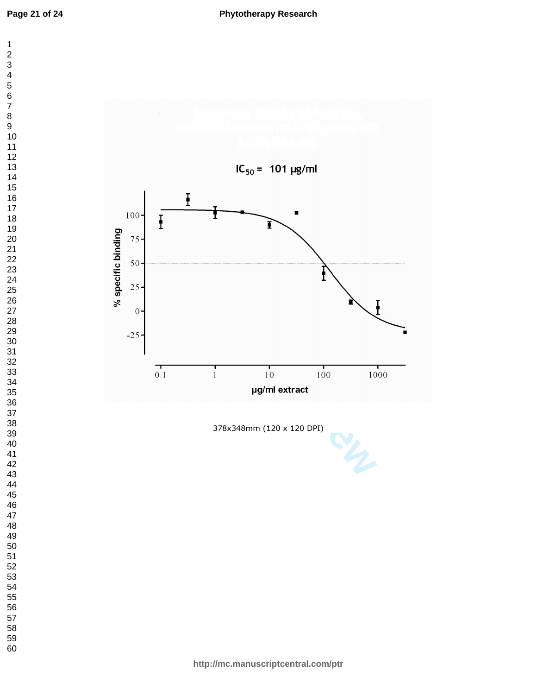$\overline{7}$  $\bf 8$  $\boldsymbol{9}$ 

2<br>3<br>4<br>5<br>6

 $\mathbf 1$ 



378x348mm (120 x 120 DPI)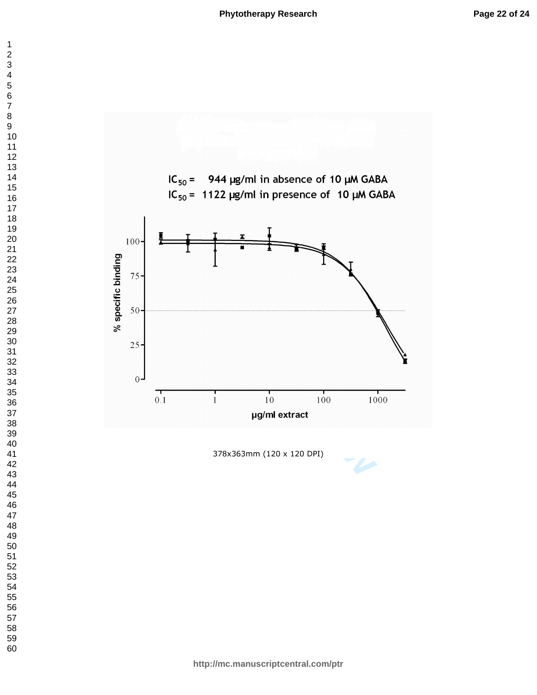



378x363mm (120 x 120 DPI)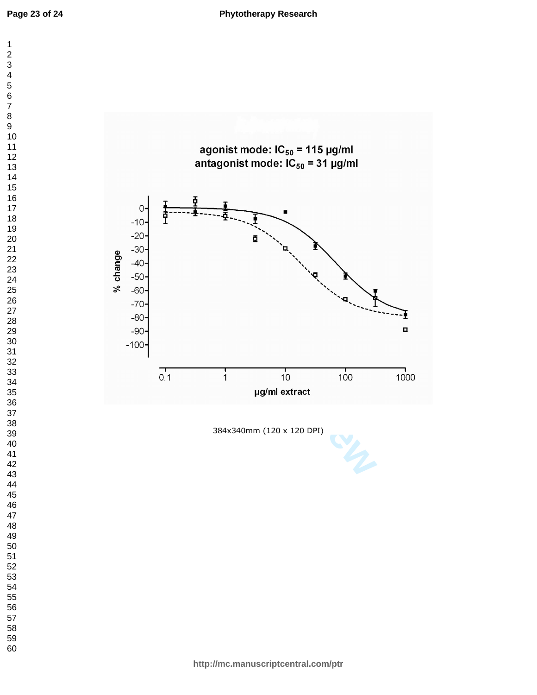



384x340mm (120 x 120 DPI)